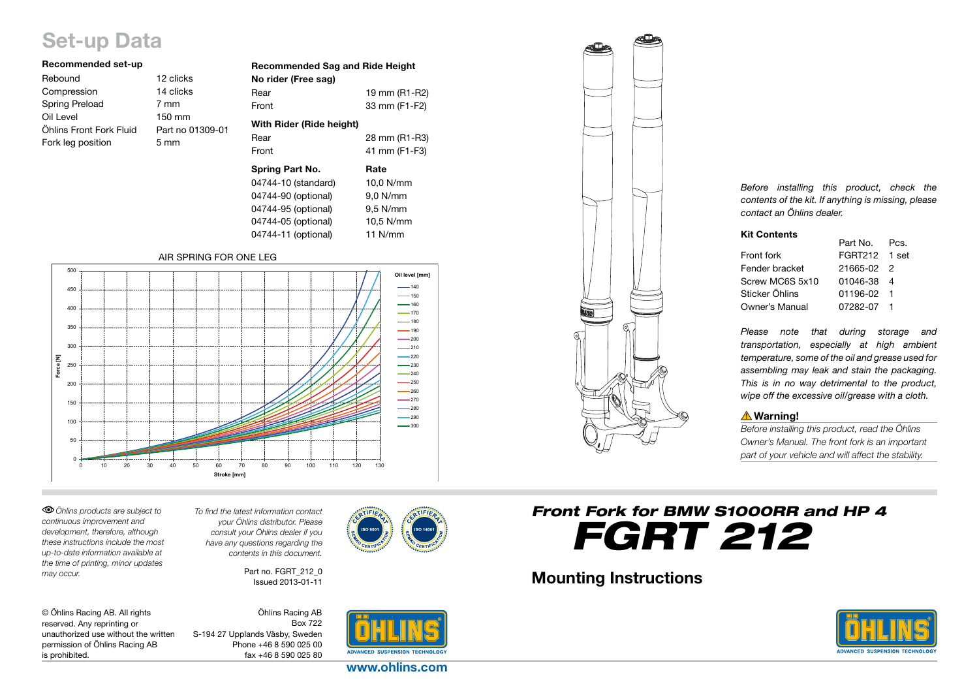# Set-up Data

| Recommended set-up      |                  |
|-------------------------|------------------|
| Rebound                 | 12 clicks        |
| Compression             | 14 clicks        |
| <b>Spring Preload</b>   | 7 mm             |
| Oil Level               | 150 mm           |
| Öhlins Front Fork Fluid | Part no 01309-01 |
| Fork leg position       | $5 \text{ mm}$   |
|                         |                  |

| <b>Recommended Sag and Ride Height</b><br>No rider (Free sag) |               |
|---------------------------------------------------------------|---------------|
| Rear                                                          | 19 mm (R1-R2) |
| Front                                                         | 33 mm (F1-F2) |
| With Rider (Ride height)                                      |               |
| Rear                                                          | 28 mm (R1-R3) |
| Front                                                         | 41 mm (F1-F3) |
| <b>Spring Part No.</b>                                        | Rate          |
| 04744-10 (standard)                                           | 10.0 N/mm     |
| 04744-90 (optional)                                           | 9.0 N/mm      |
| 04744-95 (optional)                                           | $9.5$ N/mm    |
| 04744-05 (optional)                                           | 10,5 N/mm     |
| 04744-11 (optional)                                           | 11 $N/mm$     |

#### AIR SPRING FOR ONE LEG



*Öhlins products are subject to continuous improvement and development, therefore, although these instructions include the most up-to-date information available at the time of printing, minor updates may occur.* 

*To find the latest information contact your Öhlins distributor. Please consult your Öhlins dealer if you have any questions regarding the contents in this document.*

> Part no. FGRT 212\_0 Issued 2013-01-11

© Öhlins Racing AB. All rights reserved. Any reprinting or unauthorized use without the written permission of Öhlins Racing AB is prohibited.

Öhlins Racing AB Box 722 S-194 27 Upplands Väsby, Sweden Phone +46 8 590 025 00 fax +46 8 590 025 80



www.ohlins.com



*Before installing this product, check the contents of the kit. If anything is missing, please contact an Öhlins dealer.*

#### Kit Contents

|                 | Part No.      | Pcs. |
|-----------------|---------------|------|
| Front fork      | FGRT212 1 set |      |
| Fender bracket  | 21665-02 2    |      |
| Screw MC6S 5x10 | 01046-38 4    |      |
| Sticker Öhlins  | 01196-02 1    |      |
| Owner's Manual  | 07282-07 1    |      |

*Please note that during storage and transportation, especially at high ambient temperature, some of the oil and grease used for assembling may leak and stain the packaging. This is in no way detrimental to the product, wipe off the excessive oil/grease with a cloth.*

# **△Warning!**

*Before installing this product, read the Öhlins Owner's Manual. The front fork is an important part of your vehicle and will affect the stability.*

*Front Fork for BMW S1000RR and HP 4 FGRT 212*

# Mounting Instructions